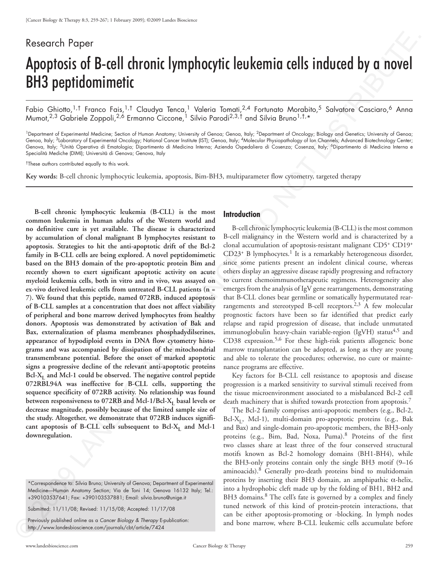# Research Paper

# Apoptosis of B-cell chronic lymphocytic leukemia cells induced by a novel BH3 peptidomimetic

Fabio Ghiotto,<sup>1,†</sup> Franco Fais,<sup>1,†</sup> Claudya Tenca,<sup>1</sup> Valeria Tomati,<sup>2,4</sup> Fortunato Morabito,<sup>5</sup> Salvatore Casciaro,<sup>6</sup> Anna Mumot,<sup>2,3</sup> Gabriele Zoppoli,<sup>2,6</sup> Ermanno Ciccone,<sup>1</sup> Silvio Parodi<sup>2,3,†</sup> and Silvia Bruno<sup>1,†,</sup>\*

<sup>1</sup>Department of Experimental Medicine; Section of Human Anatomy; University of Genoa; Genoa; Italy; <sup>2</sup>Department of Oncology; Biology and Genetics; University of Genoa; Genoa, Italy; <sup>3</sup>Laboratory of Experimental Oncology; National Cancer Institute (IST); Genoa, Italy; <sup>4</sup>Molecular Physiopathology of Ion Channels; Advanced Biotechnology Center; Genova, Italy; <sup>5</sup>Unità Operativa di Ematologia; Dipartimento di Medicina Interna; Azienda Ospedaliera di Cosenza; Cosenza, Italy; <sup>6</sup>Dipartimento di Medicina Interna e Specialità Mediche (DIMI); Università di Genova; Genova, Italy

†These authors contributed equally to this work.

**Key words:** B-cell chronic lymphocytic leukemia, apoptosis, Bim-BH3, multiparameter flow cytometry, targeted therapy

**B-cell chronic lymphocytic leukemia (B-CLL) is the most common leukemia in human adults of the Western world and no definitive cure is yet available. The disease is characterized by accumulation of clonal malignant B lymphocytes resistant to apoptosis. Strategies to hit the anti-apoptotic drift of the Bcl-2 family in B-CLL cells are being explored. A novel peptidomimetic based on the BH3 domain of the pro-apoptotic protein Bim and recently shown to exert significant apoptotic activity on acute myeloid leukemia cells, both in vitro and in vivo, was assayed on ex-vivo derived leukemic cells from untreated B-CLL patients (n = 7). We found that this peptide, named 072RB, induced apoptosis of B-CLL samples at a concentration that does not affect viability of peripheral and bone marrow derived lymphocytes from healthy donors. Apoptosis was demonstrated by activation of Bak and Bax, externalization of plasma membranes phosphadydilserines, appearance of hypodiploid events in DNA flow cytometry histograms and was accompanied by dissipation of the mitochondrial transmembrane potential. Before the onset of marked apoptotic signs a progressive decline of the relevant anti-apoptotic proteins**  Bcl-X<sub>I</sub> and Mcl-1 could be observed. The negative control peptide **072RBL94A was ineffective for B-CLL cells, supporting the sequence specificity of 072RB activity. No relationship was found**  between responsiveness to 072RB and Mcl-1/Bcl-X<sub>L</sub> basal levels or **decrease magnitude, possibly because of the limited sample size of the study. Altogether, we demonstrate that 072RB induces signifi**cant apoptosis of B-CLL cells subsequent to Bcl- $X_L$  and Mcl-1 **downregulation.** Research Proper<br> **Apoptosis of B-cell chronic lymphocytic leukemine cells induced by crosses (APOIP) application in the consequence of the consequence of the consequence of the consequence of the consequence of the conseq** 

\*Correspondence to: Silvia Bruno; University of Genova; Department of Experimental Medicine—Human Anatomy Section; Via de Toni 14; Genova 16132 Italy; Tel.: +390103537641; Fax: +390103537881; Email: silvia.bruno@unige.it

Submitted: 11/11/08; Revised: 11/15/08; Accepted: 11/17/08

Previously published online as a *Cancer Biology & Therapy* E-publication: http://www.landesbioscience.com/journals/cbt/article/7424 Previou

#### **Introduction**

B-cell chronic lymphocytic leukemia (B-CLL) is the most common B-cell malignancy in the Western world and is characterized by a clonal accumulation of apoptosis-resistant malignant CD5+ CD19+  $CD23$ <sup>+</sup> B lymphocytes.<sup>1</sup> It is a remarkably heterogeneous disorder, since some patients present an indolent clinical course, whereas others display an aggressive disease rapidly progressing and refractory to current chemoimmunotherapeutic regimens. Heterogeneity also emerges from the analysis of IgV gene rearrangements, demonstrating that B-CLL clones bear germline or somatically hypermutated rearrangements and stereotyped B-cell receptors.<sup>2,3</sup> A few molecular prognostic factors have been so far identified that predict early relapse and rapid progression of disease, that include unmutated immunoglobulin heavy-chain variable-region (IgVH) status<sup>4,5</sup> and CD38 expression.<sup>5,6</sup> For these high-risk patients allogeneic bone marrow transplantation can be adopted, as long as they are young and able to tolerate the procedures; otherwise, no cure or maintenance programs are effective.

Key factors for B-CLL cell resistance to apoptosis and disease progression is a marked sensitivity to survival stimuli received from the tissue microenvironment associated to a misbalanced Bcl-2 cell death machinery that is shifted towards protection from apoptosis.<sup>7</sup>

The Bcl-2 family comprises anti-apoptotic members (e.g., Bcl-2,  $Bcl-X<sub>r</sub>$ , Mcl-1), multi-domain pro-apoptotic proteins (e.g., Bak and Bax) and single-domain pro-apoptotic members, the BH3-only proteins (e.g., Bim, Bad, Noxa, Puma).8 Proteins of the first two classes share at least three of the four conserved structural motifs known as Bcl-2 homology domains (BH1-BH4), while the BH3-only proteins contain only the single BH3 motif (9–16 aminoacids).<sup>8</sup> Generally pro-death proteins bind to multidomain proteins by inserting their BH3 domain, an amphipathic α-helix, into a hydrophobic cleft made up by the folding of BH1, BH2 and BH3 domains.<sup>8</sup> The cell's fate is governed by a complex and finely tuned network of this kind of protein-protein interactions, that can be either apoptosis-promoting or -blocking. In lymph nodes and bone marrow, where B-CLL leukemic cells accumulate before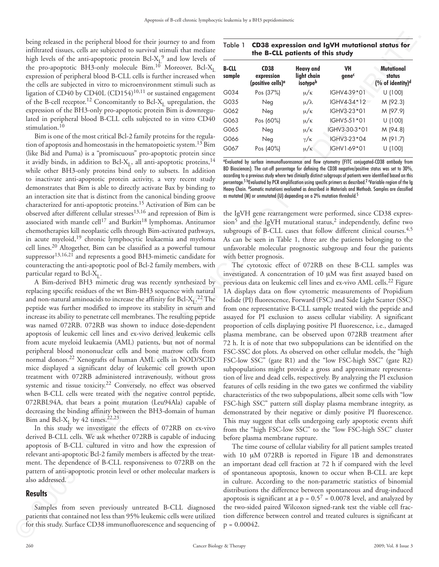being released in the peripheral blood for their journey to and from infiltrated tissues, cells are subjected to survival stimuli that mediate high levels of the anti-apoptotic protein  $Bcl-X<sub>L</sub><sup>9</sup>$  and low levels of the pro-apoptotic BH3-only molecule Bim.<sup>10</sup> Moreover, Bcl-X<sub>L</sub> expression of peripheral blood B-CLL cells is further increased when the cells are subjected in vitro to microenvironment stimuli such as ligation of CD40 by CD40L (CD154)<sup>10,11</sup> or sustained engagement of the B-cell receptor.<sup>12</sup> Concomitantly to Bcl-X<sub>L</sub> upregulation, the expression of the BH3-only pro-apoptotic protein Bim is downregulated in peripheral blood B-CLL cells subjected to in vitro CD40 stimulation.<sup>10</sup>

Bim is one of the most critical Bcl-2 family proteins for the regulation of apoptosis and homeostasis in the hematopoietic system.<sup>13</sup> Bim (like Bid and Puma) is a "promiscuous" pro-apoptotic protein since it avidly binds, in addition to Bcl-X<sub>L</sub>, all anti-apoptotic proteins,<sup>14</sup> while other BH3-only proteins bind only to subsets. In addition to inactivate anti-apoptotic protein activity, a very recent study demonstrates that Bim is able to directly activate Bax by binding to an interaction site that is distinct from the canonical binding groove characterized for anti-apoptotic proteins.15 Activation of Bim can be observed after different cellular stresses13,16 and repression of Bim is associated with mantle cell<sup>17</sup> and Burkitt<sup>18</sup> lymphomas. Antitumor chemotherapies kill neoplastic cells through Bim-activated pathways, in acute myeloid,19 chronic lymphocytic leukaemia and myeloma cell lines.20 Altogether, Bim can be classified as a powerful tumour suppressor<sup>13,16,21</sup> and represents a good BH3-mimetic candidate for counteracting the anti-apoptotic pool of Bcl-2 family members, with particular regard to Bcl- $X_t$ .

A Bim-derived BH3 mimetic drug was recently synthesized by replacing specific residues of the wt Bim-BH3 sequence with natural and non-natural aminoacids to increase the affinity for Bcl-X<sub>L</sub>.<sup>22</sup> The peptide was further modified to improve its stability in serum and increase its ability to penetrate cell membranes. The resulting peptide was named 072RB. 072RB was shown to induce dose-dependent apoptosis of leukemic cell lines and ex-vivo derived leukemic cells from acute myeloid leukaemia (AML) patients, but not of normal peripheral blood mononuclear cells and bone marrow cells from normal donors.22 Xenografts of human AML cells in NOD/SCID mice displayed a significant delay of leukemic cell growth upon treatment with 072RB administered intravenously, without gross systemic and tissue toxicity.22 Conversely, no effect was observed when B-CLL cells were treated with the negative control peptide, 072RBL94A, that bears a point mutation (Leu94Ala) capable of decreasing the binding affinity between the BH3-domain of human Bim and Bcl-X<sub>L</sub> by 42 times.<sup>22,23</sup>

In this study we investigate the effects of 072RB on ex-vivo derived B-CLL cells. We ask whether 072RB is capable of inducing apoptosis of B-CLL cultured in vitro and how the expression of relevant anti-apoptotic Bcl-2 family members is affected by the treatment. The dependence of B-CLL responsiveness to 072RB on the pattern of anti-apoptotic protein level or other molecular markers is also addressed.

# **Results**

Samples from seven previously untreated B-CLL diagnosed patients that contained not less than 95% leukemic cells were utilized for this study. Surface CD38 immunofluorescence and sequencing of

Table 1 **CD38 expression and IgVH mutational status for the B-CLL patients of this study**

| <b>B-CLL</b> | <b>CD38</b>                                 | Heavy and               | <b>VH</b>         | Mutational                             |
|--------------|---------------------------------------------|-------------------------|-------------------|----------------------------------------|
| sample       | expression<br>(positive cells) <sup>a</sup> | light chain<br>isotypeb | gene <sup>c</sup> | status<br>(% of identity) <sup>d</sup> |
| G034         | Pos (37%)                                   | $\mu/\kappa$            | IGHV4-39*01       | U (100)                                |
| G035         | Neg                                         | $\mu/\lambda$           | IGHV4-34*12       | M (92.3)                               |
| G062         | Neg                                         | $\mu/\kappa$            | IGHV3-23*01       | M (97.9)                               |
| G063         | Pos (60%)                                   | $\mu/\kappa$            | IGHV5-51*01       | U (100)                                |
| G065         | Neg                                         | $\mu/\kappa$            | IGHV3-30-3*01     | M (94.8)                               |
| G066         | Neg                                         | $\gamma/\kappa$         | IGHV3-23*04       | M (91.7)                               |
| G067         | Pos (40%)                                   | $\mu/\kappa$            | IGHV1-69*01       | U (100)                                |

a Evaluated by surface immunofluorescence and flow cytometry (FITC conjugated-CD38 antibody from BD Biosciences). The cut-off percentage for defining the CD38 negative/positive status was set to 30%, according to a previous study where two clinically distinct subgroups of patients were identified based on this percentage.<sup>5 b</sup>Evaluated by PCR amplification using specific primers as described.<sup>2</sup> 'Variable region of the Ig Heavy Chain. <sup>d</sup>Somatic mutations evaluated as described in Materials and Methods. Samples are classified as mutated (M) or unmutated (U) depending on a 2% mutation threshold.<sup>5</sup>

the IgVH gene rearrangement were performed, since CD38 expres $sion<sup>5</sup>$  and the IgVH mutational status,<sup>2</sup> independently, define two subgroups of B-CLL cases that follow different clinical courses.<sup>4,5</sup> As can be seen in Table 1, three are the patients belonging to the unfavorable molecular prognostic subgroup and four the patients with better prognosis.

The cytotoxic effect of 072RB on these B-CLL samples was investigated. A concentration of 10 μM was first assayed based on previous data on leukemic cell lines and ex-vivo AML cells.22 Figure 1A displays data on flow cytometric measurements of Propidium Iodide (PI) fluorescence, Forward (FSC) and Side Light Scatter (SSC) from one representative B-CLL sample treated with the peptide and assayed for PI exclusion to assess cellular viability. A significant proportion of cells displaying positive PI fluorescence, i.e., damaged plasma membrane, can be observed upon 072RB treatment after 72 h. It is of note that two subpopulations can be identified on the FSC-SSC dot plots. As observed on other cellular models, the "high FSC-low SSC" (gate R1) and the "low FSC-high SSC" (gate R2) subpopulations might provide a gross and approximate representation of live and dead cells, respectively. By analyzing the PI exclusion features of cells residing in the two gates we confirmed the viability characteristics of the two subpopulations, albeit some cells with "low FSC-high SSC" pattern still display plasma membrane integrity, as demonstrated by their negative or dimly positive PI fluorescence. This may suggest that cells undergoing early apoptotic events shift from the "high FSC-low SSC" to the "low FSC-high SSC" cluster before plasma membrane rupture. inter through the correspondent of the internet system. This is not the main of the system into the system into the system into the system into the system into the system into the system into the system into the system in

The time course of cellular viability for all patient samples treated with 10 μM 072RB is reported in Figure 1B and demonstrates an important dead cell fraction at 72 h if compared with the level of spontaneous apoptosis, known to occur when B-CLL are kept in culture. According to the non-parametric statistics of binomial distributions the difference between spontaneous and drug-induced apoptosis is significant at a  $p = 0.5^{7} = 0.0078$  level, and analyzed by the two-sided paired Wilcoxon signed-rank test the viable cell fraction difference between control and treated cultures is significant at  $p = 0.00042$ .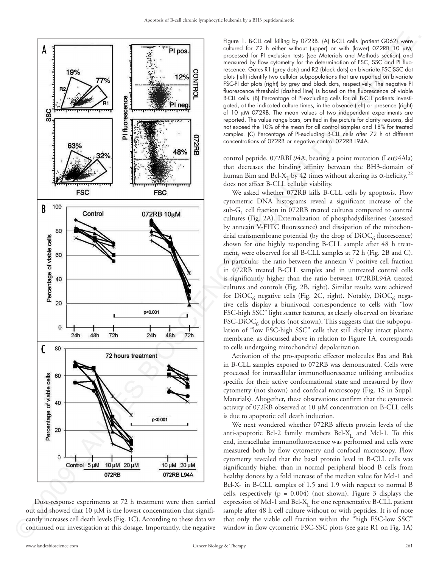



Figure 1. B-CLL cell killing by 072RB. (A) B-CLL cells (patient G062) were cultured for 72 h either without (upper) or with (lower) 072RB 10 μM, processed for PI exclusion tests (see Materials and Methods section) and measured by flow cytometry for the determination of FSC, SSC and PI fluorescence. Gates R1 (grey dots) and R2 (black dots) on bivariate FSC-SSC dot plots (left) identify two cellular subpopulations that are reported on bivariate FSC-PI dot plots (right) by grey and black dots, respectively. The negative PI fluorescence threshold (dashed line) is based on the fluorescence of viable B-CLL cells. (B) Percentage of PI-excluding cells for all B-CLL patients investigated, at the indicated culture times, in the absence (left) or presence (right) of 10 μM 072RB. The mean values of two independent experiments are reported. The value range bars, omitted in the picture for clarity reasons, did not exceed the 10% of the mean for all control samples and 18% for treated samples. (C) Percentage of PI-excluding B-CLL cells after 72 h at different concentrations of 072RB or negative control 072RB L94A.

control peptide, 072RBL94A, bearing a point mutation (Leu94Ala) that decreases the binding affinity between the BH3-domain of human Bim and Bcl-X<sub>L</sub> by 42 times without altering its α-helicity,<sup>22</sup> does not affect B-CLL cellular viability.

We asked whether 072RB kills B-CLL cells by apoptosis. Flow cytometric DNA histograms reveal a significant increase of the sub- $G_1$  cell fraction in 072RB treated cultures compared to control cultures (Fig. 2A). Externalization of phosphadydilserines (assessed by annexin V-FITC fluorescence) and dissipation of the mitochondrial transmembrane potential (by the drop of  $DiOC<sub>6</sub>$  fluorescence) shown for one highly responding B-CLL sample after 48 h treatment, were observed for all B-CLL samples at 72 h (Fig. 2B and C). In particular, the ratio between the annexin  $V$  positive cell fraction in 072RB treated B-CLL samples and in untreated control cells is significantly higher than the ratio between 072RBL94A treated cultures and controls (Fig. 2B, right). Similar results were achieved for  $DiOC<sub>6</sub>$  negative cells (Fig. 2C, right). Notably,  $DiOC<sub>6</sub>$  negative cells display a biunivocal correspondence to cells with "low FSC-high SSC" light scatter features, as clearly observed on bivariate  $FSC-DiOC<sub>6</sub>$  dot plots (not shown). This suggests that the subpopulation of "low FSC-high SSC" cells that still display intact plasma membrane, as discussed above in relation to Figure 1A, corresponds to cells undergoing mitochondrial depolarization.

Activation of the pro-apoptotic effector molecules Bax and Bak in B-CLL samples exposed to 072RB was demonstrated. Cells were processed for intracellular immunofluorescence utilizing antibodies specific for their active conformational state and measured by flow cytometry (not shown) and confocal microscopy (Fig. 1S in Suppl. Materials). Altogether, these observations confirm that the cytotoxic activity of 072RB observed at 10 μM concentration on B-CLL cells is due to apoptotic cell death induction.

We next wondered whether 072RB affects protein levels of the anti-apoptotic Bcl-2 family members Bcl-X<sub>I</sub> and Mcl-1. To this end, intracellular immunofluorescence was performed and cells were measured both by flow cytometry and confocal microscopy. Flow cytometry revealed that the basal protein level in B-CLL cells was significantly higher than in normal peripheral blood B cells from healthy donors by a fold increase of the median value for Mcl-1 and  $Bcl-X<sub>I</sub>$  in B-CLL samples of 1.5 and 1.9 with respect to normal B cells, respectively ( $p = 0.004$ ) (not shown). Figure 3 displays the expression of Mcl-1 and Bcl- $X<sub>I</sub>$  for one representative B-CLL patient sample after 48 h cell culture without or with peptides. It is of note that only the viable cell fraction within the "high FSC-low SSC" window in flow cytometric FSC-SSC plots (see gate R1 on Fig. 1A)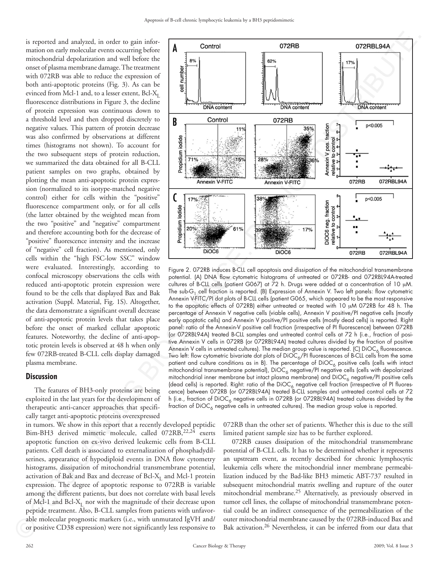is reported and analyzed, in order to gain information on early molecular events occurring before mitochondrial depolarization and well before the onset of plasma membrane damage. The treatment with 072RB was able to reduce the expression of both anti-apoptotic proteins (Fig. 3). As can be evinced from Mcl-1 and, to a lesser extent, Bcl- $X_L$ fluorescence distributions in Figure 3, the decline of protein expression was continuous down to a threshold level and then dropped discretely to negative values. This pattern of protein decrease was also confirmed by observations at different times (histograms not shown). To account for the two subsequent steps of protein reduction, we summarized the data obtained for all B-CLL patient samples on two graphs, obtained by plotting the mean anti-apoptotic protein expression (normalized to its isotype-matched negative control) either for cells within the "positive" fluorescence compartment only, or for all cells (the latter obtained by the weighted mean from the two "positive" and "negative" compartment and therefore accounting both for the decrease of "positive" fluorescence intensity and the increase of "negative" cell fraction). As mentioned, only cells within the "high FSC-low SSC" window were evaluated. Interestingly, according to confocal microscopy observations the cells with reduced anti-apoptotic protein expression were found to be the cells that displayed Bax and Bak activation (Suppl. Material, Fig. 1S). Altogether, the data demonstrate a significant overall decrease of anti-apoptotic protein levels that takes place before the onset of marked cellular apoptotic features. Noteworthy, the decline of anti-apoptotic protein levels is observed at 48 h when only few 072RB-treated B-CLL cells display damaged plasma membrane.

#### **Discussion**

The features of BH3-only proteins are being exploited in the last years for the development of therapeutic anti-cancer approaches that specifically target anti-apoptotic proteins overexpressed

in tumors. We show in this report that a recently developed peptidic Bim-BH3 derived mimetic molecule, called 072RB, 22,24 exerts apoptotic function on ex-vivo derived leukemic cells from B-CLL patients. Cell death is associated to externalization of phosphadydilserines, appearance of hypodiploid events in DNA flow cytometry histograms, dissipation of mitochondrial transmembrane potential, activation of Bak and Bax and decrease of Bcl- $X<sub>r</sub>$  and Mcl-1 protein expression. The degree of apoptotic response to 072RB is variable among the different patients, but does not correlate with basal levels of Mcl-1 and Bcl- $X_t$  nor with the magnitude of their decrease upon peptide treatment. Also, B-CLL samples from patients with unfavorable molecular prognostic markers (i.e., with unmutated IgVH and/ or positive CD38 expression) were not significantly less responsive to able m<br>or posi



Figure 2. 072RB induces B-CLL cell apoptosis and dissipation of the mitochondrial transmembrane potential. (A) DNA flow cytometric histograms of untreated or 072RB- and 072RBL94A-treated cultures of B-CLL cells (patient G067) at 72 h. Drugs were added at a concentration of 10 μM. The sub-G<sub>1</sub> cell fraction is reported. (B) Expression of Annexin V. Two left panels: flow cytometric Annexin V-FITC/PI dot plots of B-CLL cells (patient G065, which appeared to be the most responsive to the apoptotic effects of 072RB) either untreated or treated with 10 μM 072RB for 48 h. The percentage of Annexin V negative cells (viable cells), Annexin V positive/PI negative cells (mostly early apoptotic cells) and Annexin V positive/PI positive cells (mostly dead cells) is reported. Right panel: ratio of the Annexin-V positive cell fraction (irrespective of PI fluorescence) between 072RB (or 072RBL94A) treated B-CLL samples and untreated control cells at 72 h (i.e., fraction of positive Annexin V cells in 072RB (or 072RBL94A) treated cultures divided by the fraction of positive Annexin V cells in untreated cultures). The median group value is reported. (C) DiOC<sub>6</sub> fluorescence. Two left: flow cytometric bivariate dot plots of  $DiOC_6/PI$  fluorescences of B-CLL cells from the same patient and culture conditions as in B). The percentage of DiOC<sub>6</sub> positive cells (cells with intact mitochondrial transmembrane potential), DiOC<sub>6</sub> negative/PI negative cells (cells with depolarized mitochondrial inner membrane but intact plasma membrane) and DiOC<sub>6</sub> negative/PI positive cells (dead cells) is reported. Right: ratio of the DiOC<sub>6</sub> negative cell fraction (irrespective of PI fluores-<br>cence) between 072RB (or 072RBL94A) treated B-CLL samples and untreated control cells at 72 h (i.e., fraction of DiOC<sub>6</sub> negative cells in 072RB (or 072RBL94A) treated cultures divided by the fraction of  $DiOC<sub>A</sub>$  negative cells in untreated cultures). The median group value is reported.

072RB than the other set of patients. Whether this is due to the still limited patient sample size has to be further explored.

072RB causes dissipation of the mitochondrial transmembrane potential of B-CLL cells. It has to be determined whether it represents an upstream event, as recently described for chronic lymphocytic leukemia cells where the mitochondrial inner membrane permeabilization induced by the Bad-like BH3 mimetic ABT-737 resulted in subsequent mitochondrial matrix swelling and rupture of the outer mitochondrial membrane.25 Alternatively, as previously observed in tumor cell lines, the collapse of mitochondrial transmembrane potential could be an indirect consequence of the permeabilization of the outer mitochondrial membrane caused by the 072RB-induced Bax and Bak activation.<sup>26</sup> Nevertheless, it can be inferred from our data that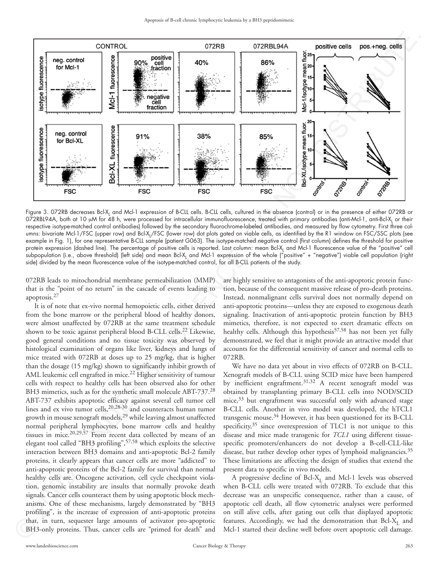

Figure 3. 072RB decreases Bcl-X<sub>L</sub> and Mcl-1 expression of B-CLL cells. B-CLL cells, cultured in the absence (control) or in the presence of either 072RB or 072RBL94A, both at 10 μM for 48 h, were processed for intracellular immunofluorescence, treated with primary antibodies (anti-Mcl-1, anti-Bcl-X<sub>L</sub> or their respective isotype-matched control antibodies) followed by the secondary fluorochrome-labeled antibodies, and measured by flow cytometry. First three columns: bivariate Mcl-1/FSC (upper row) and Bcl-X<sub>L</sub>/FSC (lower row) dot plots gated on viable cells, as identified by the R1 window on FSC/SSC plots (see example in Fig. 1), for one representative B-CLL sample (patient G063). The isotype-matched negative control (first column) defines the threshold for positive protein expression (dashed line). The percentage of positive cells is reported. Last column: mean Bcl-X<sub>L</sub> and Mcl-1 fluorescence value of the "positive" cell subpopulation (i.e., above threshold) (left side) and mean Bcl-X<sub>L</sub> and Mcl-1 expression of the whole ("positive" + "negative") viable cell population (right side) divided by the mean fluorescence value of the isotype-matched control, for all B-CLL patients of the study.

072RB leads to mitochondrial membrane permeabilization (MMP) that is the "point of no return" in the cascade of events leading to apoptosis.<sup>27</sup>

It is of note that ex-vivo normal hemopoietic cells, either derived from the bone marrow or the peripheral blood of healthy donors, were almost unaffected by 072RB at the same treatment schedule shown to be toxic against peripheral blood B-CLL cells.<sup>22</sup> Likewise, good general conditions and no tissue toxicity was observed by histological examination of organs like liver, kidneys and lungs of mice treated with 072RB at doses up to 25 mg/kg, that is higher than the dosage (15 mg/kg) shown to significantly inhibit growth of AML leukemic cell engrafted in mice.<sup>22</sup> Higher sensitivity of tumour cells with respect to healthy cells has been observed also for other BH3 mimetics, such as for the synthetic small molecule ABT-737.<sup>28</sup> ABT-737 exhibits apoptotic efficacy against several cell tumor cell lines and ex vivo tumor cells,  $20,28-30$  and counteracts human tumor growth in mouse xenograft models,<sup>29</sup> while leaving almost unaffected normal peripheral lymphocytes, bone marrow cells and healthy tissues in mice.20,29,57 From recent data collected by means of an elegant tool called "BH3 profiling",<sup>57,58</sup> which exploits the selective interaction between BH3 domains and anti-apoptotic Bcl-2 family proteins, it clearly appears that cancer cells are more "addicted" to anti-apoptotic proteins of the Bcl-2 family for survival than normal healthy cells are. Oncogene activation, cell cycle checkpoint violation, genomic instability are insults that normally provoke death signals. Cancer cells counteract them by using apoptotic block mechanisms. One of these mechanisms, largely demonstrated by "BH3 profiling", is the increase of expression of anti-apoptotic proteins that, in turn, sequester large amounts of activator pro-apoptotic BH3-only proteins. Thus, cancer cells are "primed for death" and BH3-only proteins. Thus, cancer cells are "primed for death" and

are highly sensitive to antagonists of the anti-apoptotic protein function, because of the consequent massive release of pro-death proteins. Instead, nonmalignant cells survival does not normally depend on anti-apoptotic proteins—unless they are exposed to exogenous death signaling. Inactivation of anti-apoptotic protein function by BH3 mimetics, therefore, is not expected to exert dramatic effects on healthy cells. Although this hypothesis<sup>57,58</sup> has not been yet fully demonstrated, we feel that it might provide an attractive model that accounts for the differential sensitivity of cancer and normal cells to 072RB.

We have no data yet about in vivo effects of 072RB on B-CLL. Xenograft models of B-CLL using SCID mice have been hampered by inefficient engraftment.<sup>31,32</sup> A recent xenograft model was obtained by transplanting primary B-CLL cells into NOD/SCID mice, $33$  but engraftment was successful only with advanced stage B-CLL cells. Another in vivo model was developed, the hTCL1 transgenic mouse.<sup>34</sup> However, it has been questioned for its B-CLL specificity,<sup>35</sup> since overexpression of TLC1 is not unique to this disease and mice made transgenic for *TCL1* using different tissuespecific promoters/enhancers do not develop a B-cell-CLL-like disease, but rather develop other types of lymphoid malignancies.<sup>35</sup> These limitations are affecting the design of studies that extend the present data to specific in vivo models.

A progressive decline of Bcl-X<sub>L</sub> and Mcl-1 levels was observed when B-CLL cells were treated with 072RB. To exclude that this decrease was an unspecific consequence, rather than a cause, of apoptotic cell death, all flow cytometric analyses were performed on still alive cells, after gating out cells that displayed apoptotic features. Accordingly, we had the demonstration that  $Bcl-X<sub>L</sub>$  and Mcl-1 started their decline well before overt apoptotic cell damage.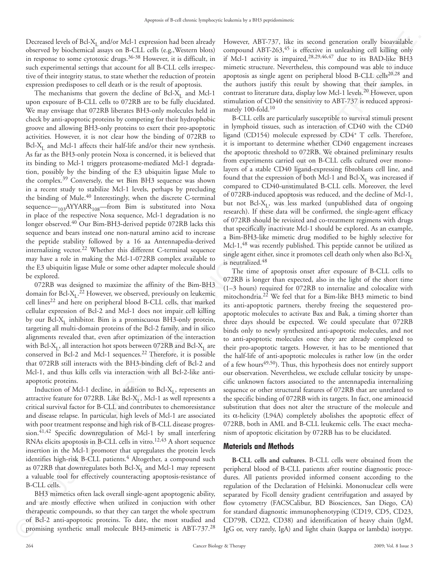Decreased levels of Bcl- $X<sub>L</sub>$  and/or Mcl-1 expression had been already observed by biochemical assays on B-CLL cells (e.g.,Western blots) in response to some cytotoxic drugs.<sup>36-38</sup> However, it is difficult, in such experimental settings that account for all B-CLL cells irrespective of their integrity status, to state whether the reduction of protein expression predisposes to cell death or is the result of apoptosis.

The mechanisms that govern the decline of Bcl-X<sub>L</sub> and Mcl-1 upon exposure of B-CLL cells to 072RB are to be fully elucidated. We may envisage that 072RB liberates BH3-only molecules held in check by anti-apoptotic proteins by competing for their hydrophobic groove and allowing BH3-only proteins to exert their pro-apoptotic activities. However, it is not clear how the binding of 072RB to Bcl-X<sub>L</sub> and Mcl-1 affects their half-life and/or their new synthesis. As far as the BH3-only protein Noxa is concerned, it is believed that its binding to Mcl-1 triggers proteasome-mediated Mcl-1 degradation, possibly by the binding of the E3 ubiquitin ligase Mule to the complex.39 Conversely, the wt Bim BH3 sequence was shown in a recent study to stabilize Mcl-1 levels, perhaps by precluding the binding of Mule.<sup>40</sup> Interestingly, when the discrete C-terminal sequence— $_{103}$ AYYARR<sub>108</sub>—from Bim is substituted into Noxa in place of the respective Noxa sequence, Mcl-1 degradation is no longer observed.40 Our Bim-BH3-derived peptide 072RB lacks this sequence and bears instead one non-natural amino acid to increase the peptide stability followed by a 16 aa Antennapedia-derived internalizing vector.<sup>22</sup> Whether this different C-terminal sequence may have a role in making the Mcl-1-072RB complex available to the E3 ubiquitin ligase Mule or some other adapter molecule should be explored. become best lied. As continue that the forest interest in the main of the stationary interest in the stationary interest in the stationary interest in the stationary interest in the stationary interest in the stationary i

072RB was designed to maximize the affinity of the Bim-BH3 domain for Bcl- $X_L$ .<sup>22</sup> However, we observed, previously on leukemic cell lines<sup>22</sup> and here on peripheral blood B-CLL cells, that marked cellular expression of Bcl-2 and Mcl-1 does not impair cell killing by our Bcl- $X_L$  inhibitor. Bim is a promiscuous BH3-only protein, targeting all multi-domain proteins of the Bcl-2 family, and in silico alignments revealed that, even after optimization of the interaction with Bcl-X<sub>L</sub>, all interaction hot spots between 072RB and Bcl-X<sub>L</sub> are conserved in Bcl-2 and Mcl-1 sequences.<sup>22</sup> Therefore, it is possible that 072RB still interacts with the BH3-binding cleft of Bcl-2 and Mcl-1, and thus kills cells via interaction with all Bcl-2-like antiapoptotic proteins.

Induction of Mcl-1 decline, in addition to Bcl- $X_I$ , represents an attractive feature for 072RB. Like Bcl- $X_L$ , Mcl-1 as well represents a critical survival factor for B-CLL and contributes to chemoresistance and disease relapse. In particular, high levels of Mcl-1 are associated with poor treatment response and high risk of B-CLL disease progression.<sup>41,42</sup> Specific downregulation of Mcl-1 by small interfering RNAs elicits apoptosis in B-CLL cells in vitro.<sup>12,43</sup> A short sequence insertion in the Mcl-1 promoter that upregulates the protein levels identifies high-risk B-CLL patients.<sup>4</sup> Altogether, a compound such as 072RB that downregulates both Bcl- $X_L$  and Mcl-1 may represent a valuable tool for effectively counteracting apoptosis-resistance of B-CLL cells.

BH3 mimetics often lack overall single-agent apoptogenic ability, and are mostly effective when utilized in conjuction with other therapeutic compounds, so that they can target the whole spectrum of Bcl-2 anti-apoptotic proteins. To date, the most studied and promising synthetic small molecule BH3-mimetic is ABT-737.<sup>28</sup> promising synthetic small molecule BH3-mimetic is ABT-737.28

However, ABT-737, like its second generation orally bioavailable compound ABT-263,<sup>45</sup> is effective in unleashing cell killing only if Mcl-1 activity is impaired,28,29,46,47 due to its BAD-like BH3 mimetic structure. Nevertheless, this compound was able to induce apoptosis as single agent on peripheral blood B-CLL cells<sup>20,28</sup> and the authors justify this result by showing that their samples, in contrast to literature data, display low Mcl-1 levels.20 However, upon stimulation of CD40 the sensitivity to ABT-737 is reduced approximately 100-fold.<sup>10</sup>

B-CLL cells are particularly susceptible to survival stimuli present in lymphoid tissues, such as interaction of CD40 with the CD40 ligand (CD154) molecule expressed by CD4+ T cells. Therefore, it is important to determine whether CD40 engagement increases the apoptotic threshold to 072RB. We obtained preliminary results from experiments carried out on B-CLL cells cultured over monolayers of a stable CD40 ligand-expressing fibroblasts cell line, and found that the expression of both Mcl-1 and Bcl- $X_I$  was increased if compared to CD40-unstimulated B-CLL cells. Moreover, the level of 072RB-induced apoptosis was reduced, and the decline of Mcl-1, but not Bcl- $X_t$ , was less marked (unpublished data of ongoing research). If these data will be confirmed, the single-agent efficacy of 072RB should be revisited and co-treatment regimens with drugs that specifically inactivate Mcl-1 should be explored. As an example, a Bim-BH3-like mimetic drug modified to be highly selective for Mcl-1,<sup>48</sup> was recently published. This peptide cannot be utilized as single agent either, since it promotes cell death only when also Bcl- $X_I$ is neutralized.48

The time of apoptosis onset after exposure of B-CLL cells to 072RB is longer than expected, also in the light of the short time (1–3 hours) required for 072RB to internalize and colocalize with mitochondria.22 We feel that for a Bim-like BH3 mimetic to bind its anti-apoptotic partners, thereby freeing the sequestered proapoptotic molecules to activate Bax and Bak, a timing shorter than three days should be expected. We could speculate that 072RB binds only to newly synthesized anti-apoptotic molecules, and not to anti-apoptotic molecules once they are already complexed to their pro-apoptotic targets. However, it has to be mentioned that the half-life of anti-apoptotic molecules is rather low (in the order of a few hours<sup>49,50</sup>). Thus, this hypothesis does not entirely support our observation. Nevertheless, we exclude cellular toxicity by unspecific unknown factors associated to the antennapedia internalizing sequence or other structural features of 072RB that are unrelated to the specific binding of 072RB with its targets. In fact, one aminoacid substitution that does not alter the structure of the molecule and its  $\alpha$ -helicity (L94A) completely abolishes the apoptotic effect of 072RB, both in AML and B-CLL leukemic cells. The exact mechanism of apoptotic elicitation by 072RB has to be elucidated.

## **Materials and Methods**

**B-CLL cells and cultures.** B-CLL cells were obtained from the peripheral blood of B-CLL patients after routine diagnostic procedures. All patients provided informed consent according to the regulation of the Declaration of Helsinki. Mononuclear cells were separated by Ficoll density gradient centrifugation and assayed by flow cytometry (FACSCalibur, BD Biosciences, San Diego, CA) for standard diagnostic immunophenotyping (CD19, CD5, CD23, CD79B, CD22, CD38) and identification of heavy chain (IgM, IgG or, very rarely, IgA) and light chain (kappa or lambda) isotype.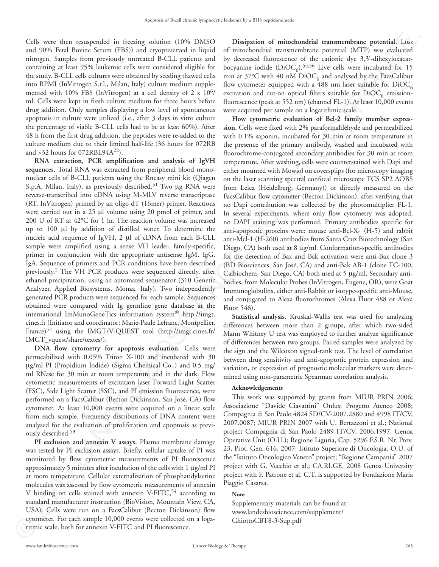Cells were then resuspended in freezing solution (10% DMSO and 90% Fetal Bovine Serum (FBS)) and cryopreserved in liquid nitrogen. Samples from previously untreated B-CLL patients and containing at least 95% leukemic cells were considered eligible for the study. B-CLL cells cultures were obtained by seeding thawed cells into RPMI (InVitrogen S.r.l., Milan, Italy) culture medium supplemented with 10% FBS (InVitrogen) at a cell density of  $2 \times 10^{6}$ / ml. Cells were kept in fresh culture medium for three hours before drug addition. Only samples displaying a low level of spontaneous apoptosis in culture were utilized (i.e., after 3 days in vitro culture the percentage of viable B-CLL cells had to be at least 60%). After 48 h from the first drug addition, the peptides were re-added to the culture medium due to their limited half-life (36 hours for 072RB and  $>32$  hours for 072RBL94A<sup>22</sup>).

**RNA extraction, PCR amplification and analysis of IgVH sequences.** Total RNA was extracted from peripheral blood mononuclear cells of B-CLL patients using the Rneasy mini kit (Qiagen S.p.A, Milan, Italy), as previously described.<sup>51</sup> Two μg RNA were reverse-transcribed into cDNA using M-MLV reverse transcriptase (RT, InVitrogen) primed by an oligo dT (16mer) primer. Reactions were carried out in a 25 μl volume using 20 pmol of primer, and 200 U of RT at 42°C for 1 hr. The reaction volume was increased up to 100 μl by addition of distilled water. To determine the nucleic acid sequence of IgVH, 2 μl of cDNA from each B-CLL sample were amplified using a sense VH leader, family-specific, primer in conjunction with the appropriate antisense IgM, IgG, IgA. Sequence of primers and PCR conditions have been described previously.2 The VH PCR products were sequenced directly, after ethanol precipitation, using an automated sequenator (310 Genetic Analyzer, Applied Biosystems, Monza, Italy). Two independently generated PCR products were sequenced for each sample. Sequences obtained were compared with Ig germline gene database at the international ImMunoGeneTics information system® http://imgt. cines.fr (Initiator and coordinator: Marie-Paule Lefranc, Montpellier, France)52 using the IMGT/V-QUEST tool (http://imgt.cines.fr/ IMGT\_vquest/share/textes/).

**DNA flow cytometry for apoptosis evaluation.** Cells were permeabilized with 0.05% Triton X-100 and incubated with 30 μg/ml PI (Propidium Iodide) (Sigma Chemical Co.,) and 0.5 mg/ ml RNase for 30 min at room temperature and in the dark. Flow cytometric measurements of excitation laser Forward Light Scatter (FSC), Side Light Scatter (SSC), and PI emission fluorescence, were performed on a FacsCalibur (Becton Dickinson, San José, CA) flow cytometer. At least 10,000 events were acquired on a linear scale from each sample. Frequency distributions of DNA content were analysed for the evaluation of proliferation and apoptosis as previously described.53

**PI exclusion and annexin V assays.** Plasma membrane damage was tested by PI exclusion assays. Briefly, cellular uptake of PI was monitored by flow cytometric measurements of PI fluorescence approximately 5 minutes after incubation of the cells with 1 μg/ml PI at room temperature. Cellular externalization of phosphatidylserine molecules was assessed by flow cytometric measurements of annexin V binding on cells stained with annexin V-FITC,<sup>54</sup> according to standard manufacturer instruction (BioVision, Mountain View, CA, USA). Cells were run on a FacsCalibur (Becton Dickinson) flow cytometer. For each sample 10,000 events were collected on a loga-<br>ritmic scale, both for annexin V-FITC and PI fluorescence. ritmic scale, both for annexin V-FITC and PI fluorescence.

**Dissipation of mitochondrial transmembrane potential.** Loss of mitochondrial transmembrane potential (MTP) was evaluated by decreased fluorescence of the cationic dye 3,3'-dihexyloxacarbocyanine iodide (DiOC<sub>6</sub>).<sup>55,56</sup> Live cells were incubated for 15 min at 37°C with 40 nM  $DiOC<sub>6</sub>$  and analysed by the FacsCalibur flow cytometer equipped with a 488 nm laser suitable for  $DiOC_6$ excitation and cut-on optical filters suitable for  $DiOC<sub>6</sub>$  emissionfluorescence (peak at 552 nm) (channel FL-1). At least 10,000 events were acquired per sample on a logarithmic scale.

**Flow cytometric evaluation of Bcl-2 family member expression.** Cells were fixed with 2% paraformaldehyde and permeabilized with 0.1% saponin, incubated for 30 min at room temperature in the presence of the primary antibody, washed and incubated with fluorochrome-conjugated secondary antibodies for 30 min at room temperature. After washing, cells were counterstained with Dapi and either mounted with Mowiol on coversplips (for microscopy imaging on the laser scanning spectral confocal microscope TCS SP2 AOBS from Leica (Heidelberg, Germany)) or directly measured on the FacsCalibur flow cytometer (Becton Dickinson), after verifying that no Dapi contribution was collected by the photomultiplier FL-1. In several experiments, where only flow cytometry was adopted, no DAPI staining was performed. Primary antibodies specific for anti-apoptotic proteins were: mouse anti-Bcl- $X_L$  (H-5) and rabbit anti-Mcl-1 (H-260) antibodies from Santa Cruz Biotechnology (San Diego, CA) both used at 8 μg/ml. Conformation-specific antibodies for the detection of Bax and Bak activation were anti-Bax clone 3 (BD Biosciences, San José, CA) and anti-Bak AB-1 (clone TC-100, Calbiochem, San Diego, CA) both used at 5 μg/ml. Secondary antibodies, from Molecular Probes (InVitrogen, Eugene, OR), were Goat Immunoglobulins, either anti-Rabbit or isotype-specific anti-Mouse, and conjugated to Alexa fluorochromes (Alexa Fluor 488 or Alexa Fluor 546). 300. The main anomy interest in the results of the results of the main and the main anomy interest in the main anomy interest in the system of the system of the system of the system of the system of the system of the syst

**Statistical analysis.** Kruskal-Wallis test was used for analyzing differences between more than 2 groups, after which two-sided Mann Whitney U test was employed to further analyze significance of differences between two groups. Paired samples were analyzed by the sign and the Wilcoxon signed-rank test. The level of correlation between drug sensitivity and anti-apoptotic protein expression and variation, or expression of prognostic molecular markers were determined using non-parametric Spearman correlation analysis.

#### **Acknowledgements**

This work was supported by grants from MIUR PRIN 2006; Associazione "Davide Ciavattini" Onlus; Progetto Ateneo 2008; Compagnia di San Paolo 4824 SD/CV-2007.2880 and 4998 IT/CV, 2007.0087; MIUR PRIN 2007 with U. Bertazzoni et al.; National project Compagnia di San Paolo 2489 IT/CV, 2006.1997, Genoa Operative Unit (O.U.); Regione Liguria, Cap. 5296 F.S.R. Nr. Prov. 23, Prot. Gen. 616, 2007; Istituto Superiore di Oncologia, O.U. of the "Istituto Oncologico Veneto" project; "Regione Campania" 2007 project with G. Vecchio et al.; CA.RI.GE. 2008 Genoa University project with F. Patrone et al. C.T. is supported by Fondazione Maria Piaggio Casarsa.

### **Note**

Supplementary materials can be found at: www.landesbioscience.com/supplement/ GhiottoCBT8-3-Sup.pdf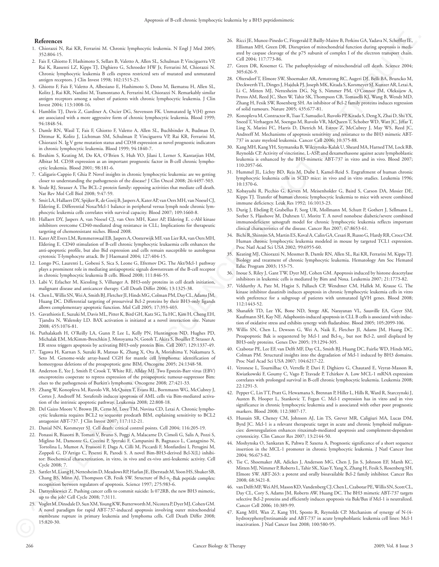#### **References**

- 1. Chiorazzi N, Rai KR, Ferrarini M. Chronic lymphocytic leukemia. N Engl J Med 2005; 352:804-15.
- 2. Fais F, Ghiotto F, Hashimoto S, Sellars B, Valetto A, Allen SL, Schulman P, Vinciguerra VP, Rai K, Rassenti LZ, Kipps TJ, Dighiero G, Schroeder HW Jr, Ferrarini M, Chiorazzi N. Chronic lymphocytic leukemia B cells express restricted sets of mutated and unmutated antigen receptors. J Clin Invest 1998; 102:1515-25.
- 3. Ghiotto F, Fais F, Valetto A, Albesiano E, Hashimoto S, Dono M, Ikematsu H, Allen SL, Kolitz J, Rai KR, Nardini M, Tramontano A, Ferrarini M, Chiorazzi N. Remarkably similar antigen receptors among a subset of patients with chronic lymphocytic leukemia. J Clin Invest 2004; 113:1008-16.
- 4. Hamblin TJ, Davis Z, Gardiner A, Oscier DG, Stevenson FK. Unmutated Ig V(H) genes are associated with a more aggressive form of chronic lymphocytic leukemia. Blood 1999; 94:1848-54.
- 5. Damle RN, Wasil T, Fais F, Ghiotto F, Valetto A, Allen SL, Buchbinder A, Budman D, Dittmar K, Kolitz J, Lichtman SM, Schulman P, Vinciguerra VP, Rai KR, Ferrarini M, Chiorazzi N. Ig V gene mutation status and CD38 expression as novel prognostic indicators in chronic lymphocytic leukemia. Blood 1999; 94:1840-7.
- 6. Ibrahim S, Keating M, Do KA, O'Brien S, Huh YO, Jilani I, Lerner S, Kantarjian HM, Albitar M. CD38 expression as an important prognostic factor in B-cell chronic lymphocytic leukemia. Blood 2001; 98:181-6.
- 7. Caligaris-Cappio F, Ghia P. Novel insights in chronic lymphocytic leukemia: are we getting closer to understanding the pathogenesis of the disease? J Clin Oncol 2008; 26:4497-503.
- 8. Youle RJ, Strasser A. The BCL-2 protein family: opposing activities that mediate cell death. Nat Rev Mol Cell Biol 2008; 9:47-59.
- 9. Smit LA, Hallaert DY, Spijker R, de Goeij B, Jaspers A, Kater AP, van Oers MH, van Noesel CJ, Eldering E. Differential Noxa/Mcl-1 balance in peripheral versus lymph node chronic lymphocytic leukemia cells correlates with survival capacity. Blood 2007; 109:1660-8.
- 10. Hallaert DY, Jaspers A, van Noesel CJ, van Oers MH, Kater AP, Eldering E. c-Abl kinase inhibitors overcome CD40-mediated drug resistance in CLL; Implications for therapeutic targeting of chemoresistant niches. Blood 2008.
- 11. Kater AP, Evers LM, Remmerswaal EB, Jaspers A, Oosterwijk MF, van Lier RA, van Oers MH, Eldering E. CD40 stimulation of B-cell chronic lymphocytic leukaemia cells enhances the anti-apoptotic profile, but also Bid expression and cells remain susceptible to autologous cytotoxic T-lymphocyte attack. Br J Haematol 2004; 127:404-15.
- 12. Longo PG, Laurenti L, Gobessi S, Sica S, Leone G, Efremov DG. The Akt/Mcl-1 pathway plays a prominent role in mediating antiapoptotic signals downstream of the B-cell receptor in chronic lymphocytic leukemia B cells. Blood 2008; 111:846-55.
- 13. Labi V, Erlacher M, Kiessling S, Villunger A. BH3-only proteins in cell death initiation, malignant disease and anticancer therapy. Cell Death Differ 2006; 13:1325-38.
- 14. Chen L, Willis SN, Wei A, Smith BJ, Fletcher JI, Hinds MG, Colman PM, Day CL, Adams JM, Huang DC. Differential targeting of prosurvival Bcl-2 proteins by their BH3-only ligands allows complementary apoptotic function. Mol Cell 2005; 17:393-403.
- 15. Gavathiotis E, Suzuki M, Davis ML, Pitter K, Bird GH, Katz SG, Tu HC, Kim H, Cheng EH, Tjandra N, Walensky LD. BAX activation is initiated at a novel interaction site. Nature 2008; 455:1076-81.
- 16. Puthalakath H, O'Reilly LA, Gunn P, Lee L, Kelly PN, Huntington ND, Hughes PD, Michalak EM, McKimm-Breschkin J, Motoyama N, Gotoh T, Akira S, Bouillet P, Strasser A. ER stress triggers apoptosis by activating BH3-only protein Bim. Cell 2007; 129:1337-49.
- 17. Tagawa H, Karnan S, Suzuki R, Matsuo K, Zhang X, Ota A, Morishima Y, Nakamura S, Seto M. Genome-wide array-based CGH for mantle cell lymphoma: identification of homozygous deletions of the proapoptotic gene BIM. Oncogene 2005; 24:1348-58.
- 18. Anderton E, Yee J, Smith P, Crook T, White RE, Allday MJ. Two Epstein-Barr virus (EBV) oncoproteins cooperate to repress expression of the proapoptotic tumour-suppressor Bim: clues to the pathogenesis of Burkitt's lymphoma. Oncogene 2008; 27:421-33.
- 19. Zhang W, Konopleva M, Ruvolo VR, McQueen T, Evans RL, Bornmann WG, McCubrey J, Cortes J, Andreeff M. Sorafenib induces apoptosis of AML cells via Bim-mediated activation of the intrinsic apoptotic pathway. Leukemia 2008; 22:808-18.
- 20. Del Gaizo Moore V, Brown JR, Certo M, Love TM, Novina CD, Letai A. Chronic lymphocytic leukemia requires BCL2 to sequester prodeath BIM, explaining sensitivity to BCL2 antagonist ABT-737. J Clin Invest 2007; 117:112-21.
- 21. Danial NN, Korsmeyer SJ. Cell death: critical control points. Cell 2004; 116:205-19.
- 22. Ponassi R, Biasotti B, Tomati V, Bruno S, Poggi A, Malacarne D, Cimoli G, Salis A, Pozzi S, Miglino M, Damonte G, Cozzini P, Spyraki F, Campanini B, Bagnasco L, Castagnino N, Tortolina L, Mumot A, Frassoni F, Daga A, Cilli M, Piccardi F, Monfardini I, Perugini M, Zoppoli G, D'Arrigo C, Pesenti R, Parodi S. A novel Bim-BH3-derived Bcl-X(L) inhibitor: Biochemical characterization, in vitro, in vivo and ex-vivo anti-leukemic activity. Cell Cycle 2008; 7.
- 23. Sattler M, Liang H, Nettesheim D, Meadows RP, Harlan JE, Eberstadt M, Yoon HS, Shuker SB, Chang BS, Minn AJ, Thompson CB, Fesik SW. Structure of Bcl-x<sub>1</sub>-Bak peptide complex: recognition between regulators of apoptosis. Science 1997; 275:983-6.
- 24. Darzynkiewicz Z. Pushing cancer cells to commit suicide: Is 072RB, the new BH3 mimetic, up to the job? Cell Cycle 2008; 7:3111.
- 25. Vogler M, Dinsdale D, Sun XM, Young KW, Butterworth M, Nicotera P, Dyer MJ, Cohen GM. A novel paradigm for rapid ABT-737-induced apoptosis involving outer mitochondrial membrane rupture in primary leukemia and lymphoma cells. Cell Death Differ 2008; 15:820-30.  $\bigodot$ <sup>15</sup>
- 26. Ricci JE, Munoz-Pinedo C, Fitzgerald P, Bailly-Maitre B, Perkins GA, Yadava N, Scheffler IE, Ellisman MH, Green DR. Disruption of mitochondrial function during apoptosis is mediated by caspase cleavage of the p75 subunit of complex I of the electron transport chain. Cell 2004; 117:773-86.
- 27. Green DR, Kroemer G. The pathophysiology of mitochondrial cell death. Science 2004; 305:626-9.
- 28. Oltersdorf T, Elmore SW, Shoemaker AR, Armstrong RC, Augeri DJ, Belli BA, Bruncko M, Deckwerth TL, Dinges J, Hajduk PJ, Joseph MK, Kitada S, Korsmeyer SJ, Kunzer AR, Letai A, Li C, Mitten MJ, Nettesheim DG, Ng S, Nimmer PM, O'Connor JM, Oleksijew A, Petros AM, Reed JC, Shen W, Tahir SK, Thompson CB, Tomaselli KJ, Wang B, Wendt MD, Zhang H, Fesik SW, Rosenberg SH. An inhibitor of Bcl-2 family proteins induces regression of solid tumours. Nature 2005; 435:677-81. 2009 LANDES BIOSCIENCE. DO NOT DISTRIBUTE.
	- 29. Konopleva M, Contractor R, Tsao T, Samudio I, Ruvolo PP, Kitada S, Deng X, Zhai D, Shi YX, Sneed T, Verhaegen M, Soengas M, Ruvolo VR, McQueen T, Schober WD, Watt JC, Jiffar T, Ling X, Marini FC, Harris D, Dietrich M, Estrov Z, McCubrey J, May WS, Reed JC, Andreeff M. Mechanisms of apoptosis sensitivity and resistance to the BH3 mimetic ABT-737 in acute myeloid leukemia. Cancer Cell 2006; 10:375-88.
	- 30. Kang MH, Kang YH, Szymanska B, Wilczynska-Kalak U, Sheard MA, Harned TM, Lock RB, Reynolds CP. Activity of vincristine, L-ASP, and dexamethasone against acute lymphoblastic leukemia is enhanced by the BH3-mimetic ABT-737 in vitro and in vivo. Blood 2007; 110:2057-66.
	- 31. Hummel JL, Lichty BD, Reis M, Dube I, Kamel-Reid S. Engraftment of human chronic lymphocytic leukemia cells in SCID mice: in vivo and in vitro studies. Leukemia 1996; 10:1370-6.
	- 32. Kobayashi R, Picchio G, Kirven M, Meisenholder G, Baird S, Carson DA, Mosier DE, Kipps TJ. Transfer of human chronic lymphocytic leukemia to mice with severe combined immune deficiency. Leuk Res 1992; 16:1013-23.
	- 33. Durig J, Ebeling P, Grabellus F, Sorg UR, Mollmann M, Schutt P, Gothert J, Sellmann L, Seeber S, Flasshove M, Duhrsen U, Moritz T. A novel nonobese diabetic/severe combined immunodeficient xenograft model for chronic lymphocytic leukemia reflects important clinical characteristics of the disease. Cancer Res 2007; 67:8653-61.
	- 34. Bichi R, Shinton SA, Martin ES, Koval A, Calin GA, Cesari R, Russo G, Hardy RR, Croce CM. Human chronic lymphocytic leukemia modeled in mouse by targeted TCL1 expression. Proc Natl Acad Sci USA 2002; 99:6955-60.
	- 35. Keating MJ, Chiorazzi N, Messmer B, Damle RN, Allen SL, Rai KR, Ferrarini M, Kipps TJ. Biology and treatment of chronic lymphocytic leukemia. Hematology Am Soc Hematol Educ Program 2003; 153-75.
	- 36. Inoue S, Riley J, Gant TW, Dyer MJ, Cohen GM. Apoptosis induced by histone deacetylase inhibitors in leukemic cells is mediated by Bim and Noxa. Leukemia 2007; 21:1773-82.
	- 37. Veldurthy A, Patz M, Hagist S, Pallasch CP, Wendtner CM, Hallek M, Krause G. The kinase inhibitor dasatinib induces apoptosis in chronic lymphocytic leukemia cells in vitro with preference for a subgroup of patients with unmutated IgVH genes. Blood 2008; 112:1443-52.
	- 38. Shanafelt TD, Lee YK, Bone ND, Strege AK, Narayanan VL, Sausville EA, Geyer SM, Kaufmann SH, Kay NE. Adaphostin-induced apoptosis in CLL B cells is associated with induction of oxidative stress and exhibits synergy with fludarabine. Blood 2005; 105:2099-106.
	- 39. Willis SN, Chen L, Dewson G, Wei A, Naik E, Fletcher JI, Adams JM, Huang DC. Proapoptotic Bak is sequestered by Mcl-1 and Bcl-x<sub>L</sub>, but not Bcl-2, until displaced by BH3-only proteins. Genes Dev 2005; 19:1294-305.
	- 40. Czabotar PE, Lee EF, van Delft MF, Day CL, Smith BJ, Huang DC, Fairlie WD, Hinds MG, Colman PM. Structural insights into the degradation of Mcl-1 induced by BH3 domains. Proc Natl Acad Sci USA 2007; 104:6217-22.
	- 41. Veronese L, Tournilhac O, Verrelle P, Davi F, Dighiero G, Chautard E, Veyrat-Masson R, Kwiatkowski F, Goumy C, Vago P, Travade P, Tchirkov A. Low MCL-1 mRNA expression correlates with prolonged survival in B-cell chronic lymphocytic leukemia. Leukemia 2008; 22:1291-3.
	- 42. Pepper C, Lin TT, Pratt G, Hewamana S, Brennan P, Hiller L, Hills R, Ward R, Starczynski J, Austen B, Hooper L, Stankovic T, Fegan C. Mcl-1 expression has in vitro and in vivo significance in chronic lymphocytic leukemia and is associated with other poor prognostic markers. Blood 2008; 112:3807-17.
	- 43. Hussain SR, Cheney CM, Johnson AJ, Lin TS, Grever MR, Caligiuri MA, Lucas DM, Byrd JC. Mcl-1 is a relevant therapeutic target in acute and chronic lymphoid malignancies: downregulation enhances rituximab-mediated apoptosis and complement-dependent cytotoxicity. Clin Cancer Res 2007; 13:2144-50.
	- 44. Moshynska O, Sankaran K, Pahwa P, Saxena A. Prognostic significance of a short sequence insertion in the MCL-1 promoter in chronic lymphocytic leukemia. J Natl Cancer Inst 2004; 96:673-82.
	- 45. Tse C, Shoemaker AR, Adickes J, Anderson MG, Chen J, Jin S, Johnson EF, Marsh KC, Mitten MJ, Nimmer P, Roberts L, Tahir SK, Xiao Y, Yang X, Zhang H, Fesik S, Rosenberg SH, Elmore SW. ABT-263: a potent and orally bioavailable Bcl-2 family inhibitor. Cancer Res 2008; 68:3421-8.
	- 46. van Delft MF, Wei AH, Mason KD, Vandenberg CJ, Chen L, Czabotar PE, Willis SN, Scott CL, Day CL, Cory S, Adams JM, Roberts AW, Huang DC. The BH3 mimetic ABT-737 targets selective Bcl-2 proteins and efficiently induces apoptosis via Bak/Bax if Mcl-1 is neutralized. Cancer Cell 2006; 10:389-99.
	- 47. Kang MH, Wan Z, Kang YH, Sposto R, Reynolds CP. Mechanism of synergy of N-(4 hydroxyphenyl)retinamide and ABT-737 in acute lymphoblastic leukemia cell lines: Mcl-1 inactivation. J Natl Cancer Inst 2008; 100:580-95.